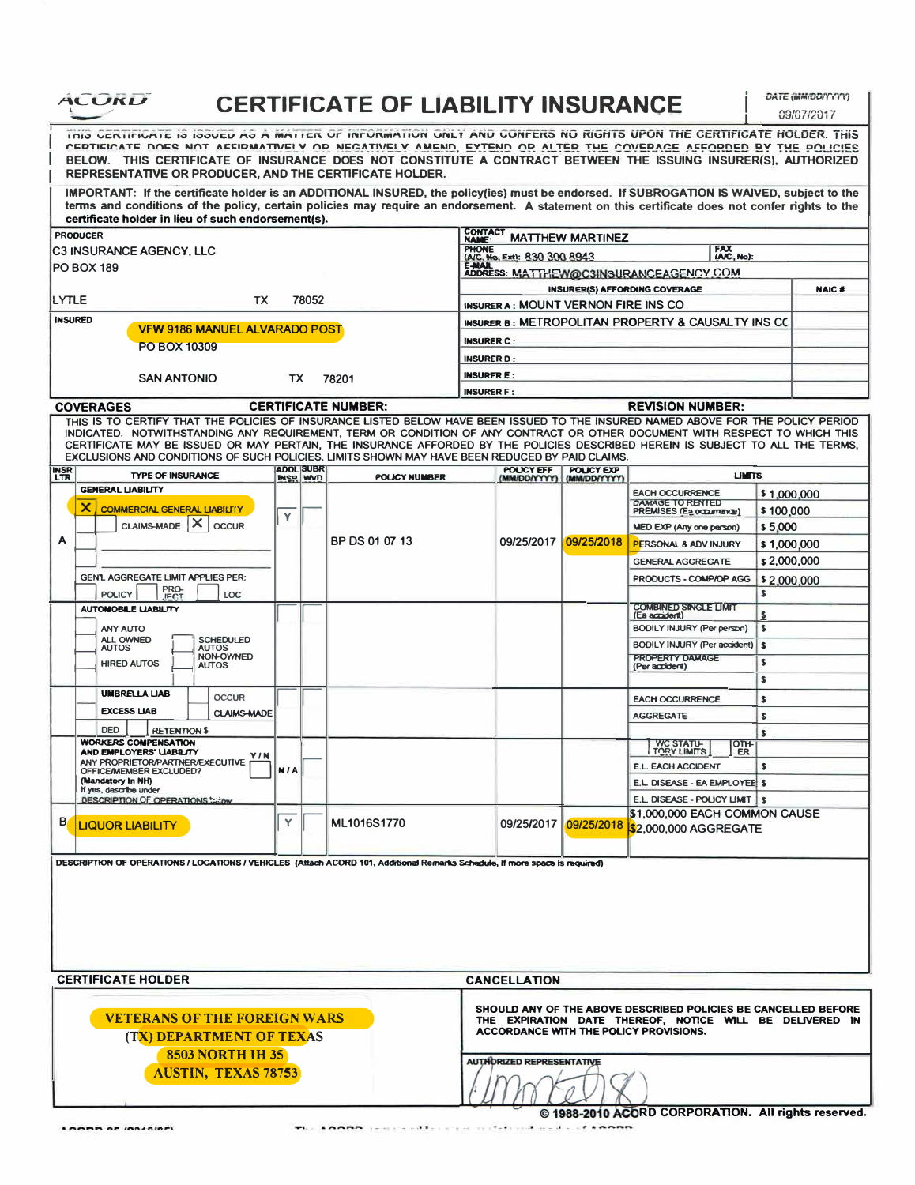| ALUKU                                                                                                                                                                                                                                                                                                                                                                                                            |                         |                                     | <b>CERTIFICATE OF LIABILITY INSURANCE</b> |                                |                                     |                            |                                                                                                                                                                      |             | DATE (MM/DD/YYYY)<br>09/07/2017 |  |  |  |  |
|------------------------------------------------------------------------------------------------------------------------------------------------------------------------------------------------------------------------------------------------------------------------------------------------------------------------------------------------------------------------------------------------------------------|-------------------------|-------------------------------------|-------------------------------------------|--------------------------------|-------------------------------------|----------------------------|----------------------------------------------------------------------------------------------------------------------------------------------------------------------|-------------|---------------------------------|--|--|--|--|
| THIS CERTIFICATE IS ISSUED AS A MATTER OF INFORMATION ONLY AND CONFERS NO RIGHTS UPON THE CERTIFICATE HOLDER. THIS<br>CERTIFICATE DOES NOT AFFIRMATIVELY OR NEGATIVELY AMEND, EXTEND OR ALTER THE COVERAGE AFFORDED BY THE POLICIES<br>BELOW. THIS CERTIFICATE OF INSURANCE DOES NOT CONSTITUTE A CONTRACT BETWEEN THE ISSUING INSURER(S), AUTHORIZED<br>REPRESENTATIVE OR PRODUCER, AND THE CERTIFICATE HOLDER. |                         |                                     |                                           |                                |                                     |                            |                                                                                                                                                                      |             |                                 |  |  |  |  |
| IMPORTANT: If the certificate holder is an ADDITIONAL INSURED, the policy(ies) must be endorsed. If SUBROGATION IS WAIVED, subject to the<br>terms and conditions of the policy, certain policies may require an endorsement. A statement on this certificate does not confer rights to the<br>certificate holder in lieu of such endorsement(s).                                                                |                         |                                     |                                           |                                |                                     |                            |                                                                                                                                                                      |             |                                 |  |  |  |  |
| <b>PRODUCER</b>                                                                                                                                                                                                                                                                                                                                                                                                  |                         |                                     |                                           | <b>CONTACT</b><br><b>NAME:</b> |                                     | <b>MATTHEW MARTINEZ</b>    |                                                                                                                                                                      |             |                                 |  |  |  |  |
| C3 INSURANCE AGENCY, LLC                                                                                                                                                                                                                                                                                                                                                                                         |                         |                                     |                                           | <b>PHONE</b>                   | (A/C, No. Ext): 830 300 8943        |                            | FAX<br>(A/C, No):                                                                                                                                                    |             |                                 |  |  |  |  |
| <b>PO BOX 189</b>                                                                                                                                                                                                                                                                                                                                                                                                |                         |                                     |                                           | <b>E-MAIL</b>                  |                                     |                            | ADDRESS: MATTHEW@C3INSURANCEAGENCY.COM                                                                                                                               |             |                                 |  |  |  |  |
|                                                                                                                                                                                                                                                                                                                                                                                                                  |                         |                                     |                                           |                                |                                     |                            | <b>INSURER(S) AFFORDING COVERAGE</b>                                                                                                                                 |             | <b>NAIC #</b>                   |  |  |  |  |
| LYTLE<br>78052<br>TX                                                                                                                                                                                                                                                                                                                                                                                             |                         |                                     |                                           |                                | INSURER A: MOUNT VERNON FIRE INS CO |                            |                                                                                                                                                                      |             |                                 |  |  |  |  |
| <b>INSURED</b>                                                                                                                                                                                                                                                                                                                                                                                                   |                         |                                     |                                           |                                |                                     |                            | INSURER B: METROPOLITAN PROPERTY & CAUSALTY INS CO                                                                                                                   |             |                                 |  |  |  |  |
| <b>VFW 9186 MANUEL ALVARADO POST</b>                                                                                                                                                                                                                                                                                                                                                                             |                         |                                     |                                           | <b>INSURER C:</b>              |                                     |                            |                                                                                                                                                                      |             |                                 |  |  |  |  |
| PO BOX 10309                                                                                                                                                                                                                                                                                                                                                                                                     |                         |                                     |                                           |                                |                                     |                            |                                                                                                                                                                      |             |                                 |  |  |  |  |
|                                                                                                                                                                                                                                                                                                                                                                                                                  |                         |                                     |                                           | <b>INSURER D:</b>              |                                     |                            |                                                                                                                                                                      |             |                                 |  |  |  |  |
| <b>SAN ANTONIO</b>                                                                                                                                                                                                                                                                                                                                                                                               | TX.                     |                                     | 78201                                     | <b>INSURER E:</b>              |                                     |                            |                                                                                                                                                                      |             |                                 |  |  |  |  |
|                                                                                                                                                                                                                                                                                                                                                                                                                  |                         |                                     |                                           | <b>INSURER F:</b>              |                                     |                            |                                                                                                                                                                      |             |                                 |  |  |  |  |
| <b>COVERAGES</b><br>THIS IS TO CERTIFY THAT THE POLICIES OF INSURANCE LISTED BELOW HAVE BEEN ISSUED TO THE INSURED NAMED ABOVE FOR THE POLICY PERIOD                                                                                                                                                                                                                                                             |                         |                                     | <b>CERTIFICATE NUMBER:</b>                |                                |                                     |                            | <b>REVISION NUMBER:</b>                                                                                                                                              |             |                                 |  |  |  |  |
| INDICATED. NOTWITHSTANDING ANY REQUIREMENT, TERM OR CONDITION OF ANY CONTRACT OR OTHER DOCUMENT WITH RESPECT TO WHICH THIS<br>CERTIFICATE MAY BE ISSUED OR MAY PERTAIN, THE INSURANCE AFFORDED BY THE POLICIES DESCRIBED HEREIN IS SUBJECT TO ALL THE TERMS,<br>EXCLUSIONS AND CONDITIONS OF SUCH POLICIES. LIMITS SHOWN MAY HAVE BEEN REDUCED BY PAID CLAIMS.                                                   |                         |                                     |                                           |                                |                                     |                            |                                                                                                                                                                      |             |                                 |  |  |  |  |
| <b>INSR</b><br>LTR<br><b>TYPE OF INSURANCE</b>                                                                                                                                                                                                                                                                                                                                                                   |                         | <b>ADDL SUBR</b><br><b>INSR WVD</b> | POLICY NUMBER                             |                                | POUCY EFF                           | POLICY EXP<br>(MM/DD/YYYY) | <b>UNITS</b>                                                                                                                                                         |             |                                 |  |  |  |  |
| <b>GENERAL LIABILITY</b>                                                                                                                                                                                                                                                                                                                                                                                         |                         |                                     |                                           |                                |                                     |                            | <b>EACH OCCURRENCE</b>                                                                                                                                               | \$1,000,000 |                                 |  |  |  |  |
| ×<br><b>COMMERCIAL GENERAL LIABILITY</b>                                                                                                                                                                                                                                                                                                                                                                         |                         |                                     |                                           |                                |                                     |                            | <b>DAMAGE TO RENTED</b><br>PREMISES (Ea occurrence)                                                                                                                  | \$100,000   |                                 |  |  |  |  |
| $\mathsf{x}$<br><b>CLAIMS-MADE</b><br><b>OCCUR</b>                                                                                                                                                                                                                                                                                                                                                               | Υ                       |                                     |                                           |                                |                                     |                            |                                                                                                                                                                      |             |                                 |  |  |  |  |
| Α                                                                                                                                                                                                                                                                                                                                                                                                                |                         |                                     | BP DS 01 07 13                            |                                | 09/25/2017                          | 09/25/2018                 | MED EXP (Any one person)                                                                                                                                             | \$5,000     |                                 |  |  |  |  |
|                                                                                                                                                                                                                                                                                                                                                                                                                  |                         |                                     |                                           |                                |                                     |                            | <b>PERSONAL &amp; ADV INJURY</b>                                                                                                                                     | \$1,000,000 |                                 |  |  |  |  |
|                                                                                                                                                                                                                                                                                                                                                                                                                  |                         |                                     |                                           |                                |                                     |                            | <b>GENERAL AGGREGATE</b>                                                                                                                                             | \$2,000,000 |                                 |  |  |  |  |
| <b>GEN'L AGGREGATE LIMIT APPLIES PER:</b><br>PRO-                                                                                                                                                                                                                                                                                                                                                                |                         |                                     |                                           |                                |                                     |                            | PRODUCTS - COMP/OP AGG                                                                                                                                               | \$2,000,000 |                                 |  |  |  |  |
| <b>POLICY</b><br>LOC<br><b>JECT</b>                                                                                                                                                                                                                                                                                                                                                                              |                         |                                     |                                           |                                |                                     |                            | <b>COMBINED SINGLE LIMIT</b>                                                                                                                                         | \$          |                                 |  |  |  |  |
| <b>AUTOMOBILE LIABILITY</b>                                                                                                                                                                                                                                                                                                                                                                                      |                         |                                     |                                           |                                |                                     |                            | (Ea accident)                                                                                                                                                        | s           |                                 |  |  |  |  |
| <b>ANY AUTO</b>                                                                                                                                                                                                                                                                                                                                                                                                  |                         |                                     |                                           |                                |                                     |                            | BODILY INJURY (Per person)                                                                                                                                           | \$          |                                 |  |  |  |  |
| ALL OWNED<br>SCHEDULED<br><b>AUTOS</b><br><b>AUTOS</b>                                                                                                                                                                                                                                                                                                                                                           |                         |                                     |                                           |                                |                                     |                            | BODILY INJURY (Per accident)                                                                                                                                         | s           |                                 |  |  |  |  |
| <b>NON-OWNED</b><br><b>HIRED AUTOS</b><br><b>AUTOS</b>                                                                                                                                                                                                                                                                                                                                                           |                         |                                     |                                           |                                |                                     |                            | PROPERTY DAMAGE<br>(Per accident)                                                                                                                                    | \$          |                                 |  |  |  |  |
|                                                                                                                                                                                                                                                                                                                                                                                                                  |                         |                                     |                                           |                                |                                     |                            |                                                                                                                                                                      | s           |                                 |  |  |  |  |
| <b>UMBRELLA LIAB</b><br><b>OCCUR</b>                                                                                                                                                                                                                                                                                                                                                                             |                         |                                     |                                           |                                |                                     |                            | <b>EACH OCCURRENCE</b>                                                                                                                                               | s           |                                 |  |  |  |  |
| <b>EXCESS LIAB</b><br><b>CLAIMS-MADE</b>                                                                                                                                                                                                                                                                                                                                                                         |                         |                                     |                                           |                                |                                     |                            | <b>AGGREGATE</b>                                                                                                                                                     | s           |                                 |  |  |  |  |
| <b>DED</b><br><b>RETENTION \$</b>                                                                                                                                                                                                                                                                                                                                                                                |                         |                                     |                                           |                                |                                     |                            |                                                                                                                                                                      | s           |                                 |  |  |  |  |
| <b>WORKERS COMPENSATION</b>                                                                                                                                                                                                                                                                                                                                                                                      |                         |                                     |                                           |                                |                                     |                            | <b>WC STATU-</b><br>TORY LIMITS<br>OTH-                                                                                                                              |             |                                 |  |  |  |  |
| AND EMPLOYERS' UABILITY<br>Y/N<br>ANY PROPRIETOR/PARTNER/EXECUTIVE                                                                                                                                                                                                                                                                                                                                               |                         |                                     |                                           |                                |                                     |                            | ER.<br><b>E.L. EACH ACCIDENT</b>                                                                                                                                     | s           |                                 |  |  |  |  |
| OFFICE/MEMBER EXCLUDED?<br>(Mandatory In NH)                                                                                                                                                                                                                                                                                                                                                                     | <b>N/A</b>              |                                     |                                           |                                |                                     |                            | E.L. DISEASE - EA EMPLOYEE \$                                                                                                                                        |             |                                 |  |  |  |  |
| If yes, describe under<br><b>DESCRIPTION OF OPERATIONS below</b>                                                                                                                                                                                                                                                                                                                                                 |                         |                                     |                                           |                                |                                     |                            | E.L. DISEASE - POLICY LIMIT   \$                                                                                                                                     |             |                                 |  |  |  |  |
|                                                                                                                                                                                                                                                                                                                                                                                                                  |                         |                                     |                                           |                                |                                     |                            | \$1,000,000 EACH COMMON CAUSE                                                                                                                                        |             |                                 |  |  |  |  |
| B<br><b>LIQUOR LIABILITY</b>                                                                                                                                                                                                                                                                                                                                                                                     | Y                       |                                     | ML1016S1770                               |                                |                                     | 09/25/2017 09/25/2018      | \$2.000.000 AGGREGATE                                                                                                                                                |             |                                 |  |  |  |  |
| DESCRIPTION OF OPERATIONS / LOCATIONS / VEHICLES (Attach ACORD 101, Additional Remarks Schedule, If more space is required)                                                                                                                                                                                                                                                                                      |                         |                                     |                                           |                                |                                     |                            |                                                                                                                                                                      |             |                                 |  |  |  |  |
| <b>CERTIFICATE HOLDER</b>                                                                                                                                                                                                                                                                                                                                                                                        |                         |                                     |                                           |                                | <b>CANCELLATION</b>                 |                            |                                                                                                                                                                      |             |                                 |  |  |  |  |
| <b>VETERANS OF THE FOREIGN WARS</b><br>(TX) DEPARTMENT OF TEXAS                                                                                                                                                                                                                                                                                                                                                  |                         |                                     |                                           |                                |                                     |                            | SHOULD ANY OF THE ABOVE DESCRIBED POLICIES BE CANCELLED BEFORE<br>THE EXPIRATION DATE THEREOF, NOTICE WILL BE DELIVERED IN<br>ACCORDANCE WITH THE POLICY PROVISIONS. |             |                                 |  |  |  |  |
|                                                                                                                                                                                                                                                                                                                                                                                                                  | <b>8503 NORTH IH 35</b> |                                     |                                           |                                |                                     |                            | <b>AUTHORIZED REPRESENTATIVE</b>                                                                                                                                     |             |                                 |  |  |  |  |
| <b>AUSTIN, TEXAS 78753</b>                                                                                                                                                                                                                                                                                                                                                                                       |                         |                                     |                                           |                                |                                     |                            |                                                                                                                                                                      |             |                                 |  |  |  |  |
| LOARD AF ISSANDE                                                                                                                                                                                                                                                                                                                                                                                                 |                         |                                     |                                           |                                |                                     |                            | © 1988-2010 ACORD CORPORATION. All rights reserved.                                                                                                                  |             |                                 |  |  |  |  |